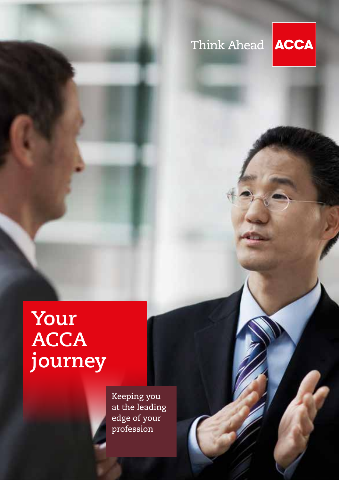## Think Ahead



## **Your ACCA journey**

Keeping you at the leading edge of your profession